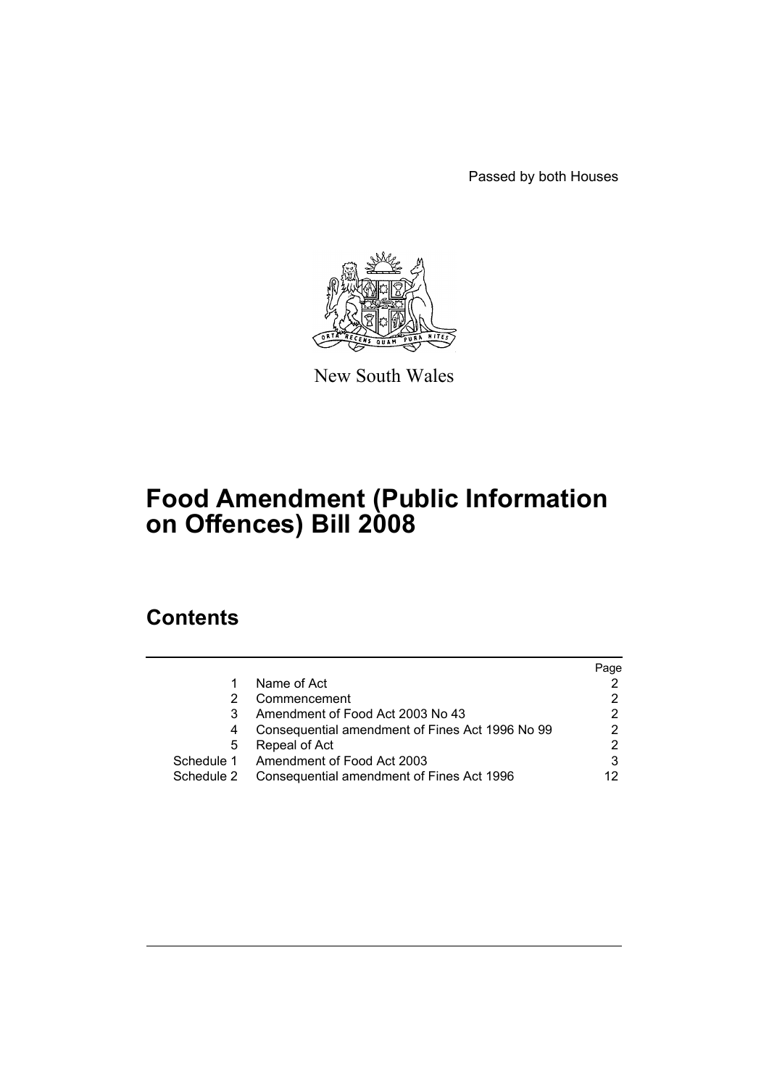Passed by both Houses



New South Wales

# **Food Amendment (Public Information on Offences) Bill 2008**

# **Contents**

|            |                                                 | Page |
|------------|-------------------------------------------------|------|
|            | Name of Act                                     |      |
|            | Commencement                                    |      |
|            | Amendment of Food Act 2003 No 43                | 2    |
| 4          | Consequential amendment of Fines Act 1996 No 99 | っ    |
| 5          | Repeal of Act                                   |      |
| Schedule 1 | Amendment of Food Act 2003                      |      |
| Schedule 2 | Consequential amendment of Fines Act 1996       |      |
|            |                                                 |      |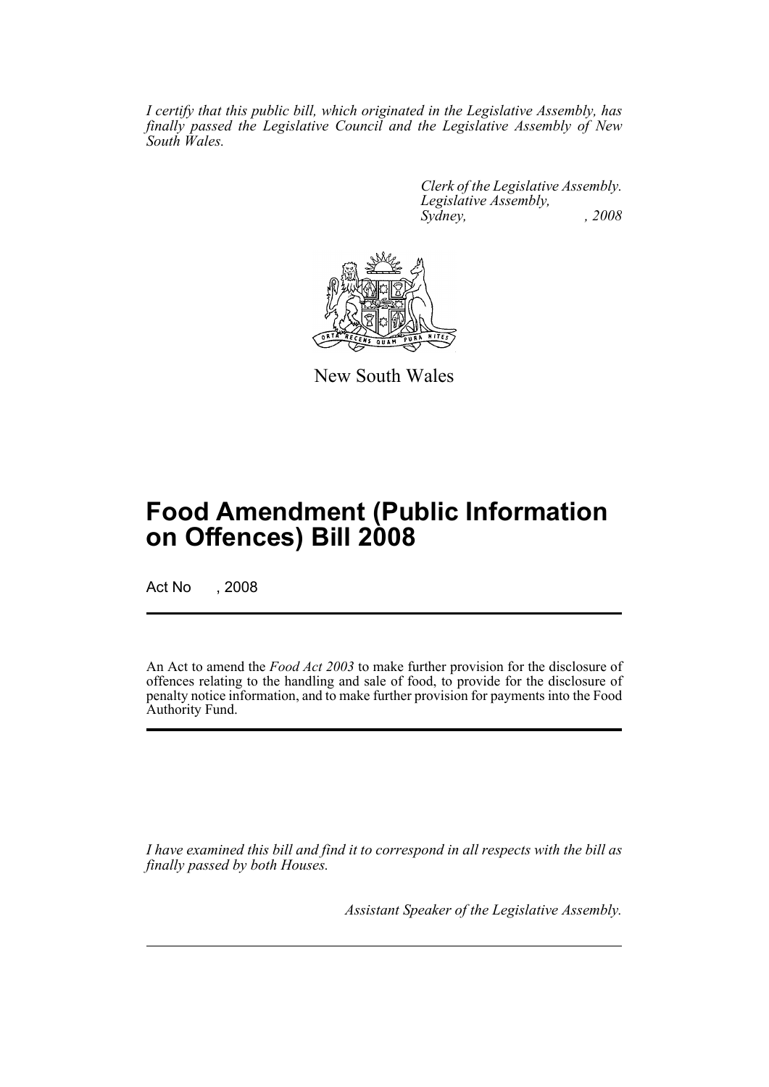*I certify that this public bill, which originated in the Legislative Assembly, has finally passed the Legislative Council and the Legislative Assembly of New South Wales.*

> *Clerk of the Legislative Assembly. Legislative Assembly, Sydney, , 2008*



New South Wales

# **Food Amendment (Public Information on Offences) Bill 2008**

Act No , 2008

An Act to amend the *Food Act 2003* to make further provision for the disclosure of offences relating to the handling and sale of food, to provide for the disclosure of penalty notice information, and to make further provision for payments into the Food Authority Fund.

*I have examined this bill and find it to correspond in all respects with the bill as finally passed by both Houses.*

*Assistant Speaker of the Legislative Assembly.*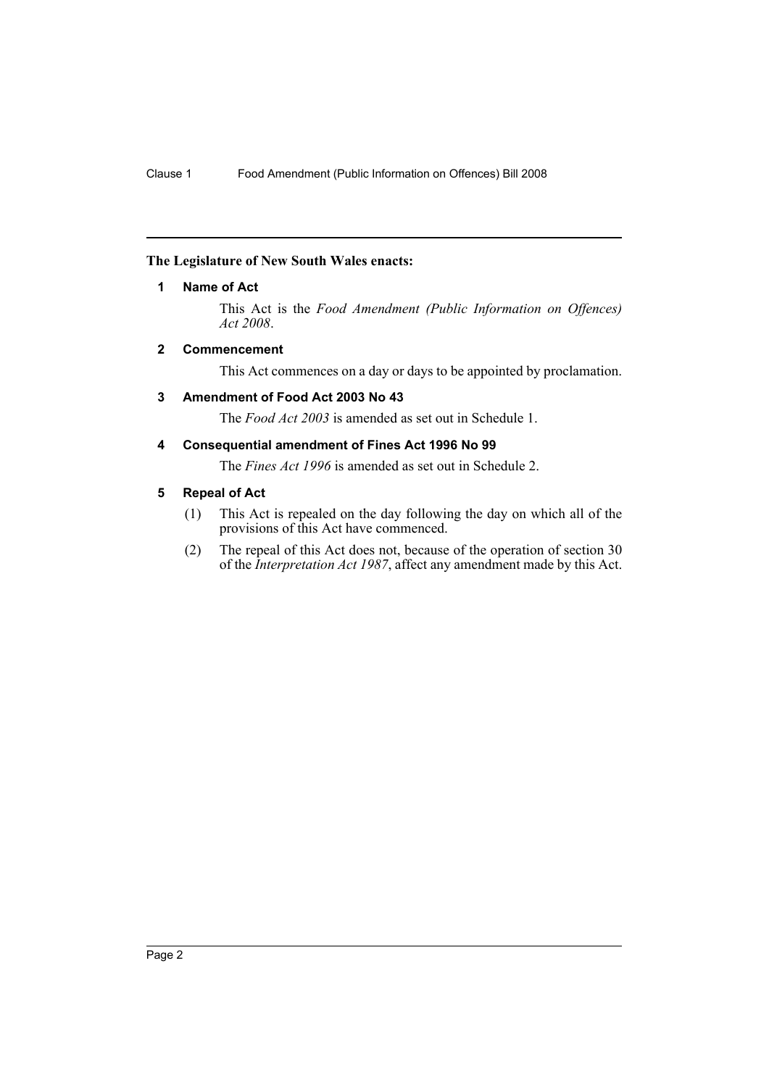#### <span id="page-2-0"></span>**The Legislature of New South Wales enacts:**

#### **1 Name of Act**

This Act is the *Food Amendment (Public Information on Offences) Act 2008*.

#### <span id="page-2-1"></span>**2 Commencement**

This Act commences on a day or days to be appointed by proclamation.

#### <span id="page-2-2"></span>**3 Amendment of Food Act 2003 No 43**

The *Food Act 2003* is amended as set out in Schedule 1.

#### <span id="page-2-3"></span>**4 Consequential amendment of Fines Act 1996 No 99**

The *Fines Act 1996* is amended as set out in Schedule 2.

#### <span id="page-2-4"></span>**5 Repeal of Act**

- (1) This Act is repealed on the day following the day on which all of the provisions of this Act have commenced.
- (2) The repeal of this Act does not, because of the operation of section 30 of the *Interpretation Act 1987*, affect any amendment made by this Act.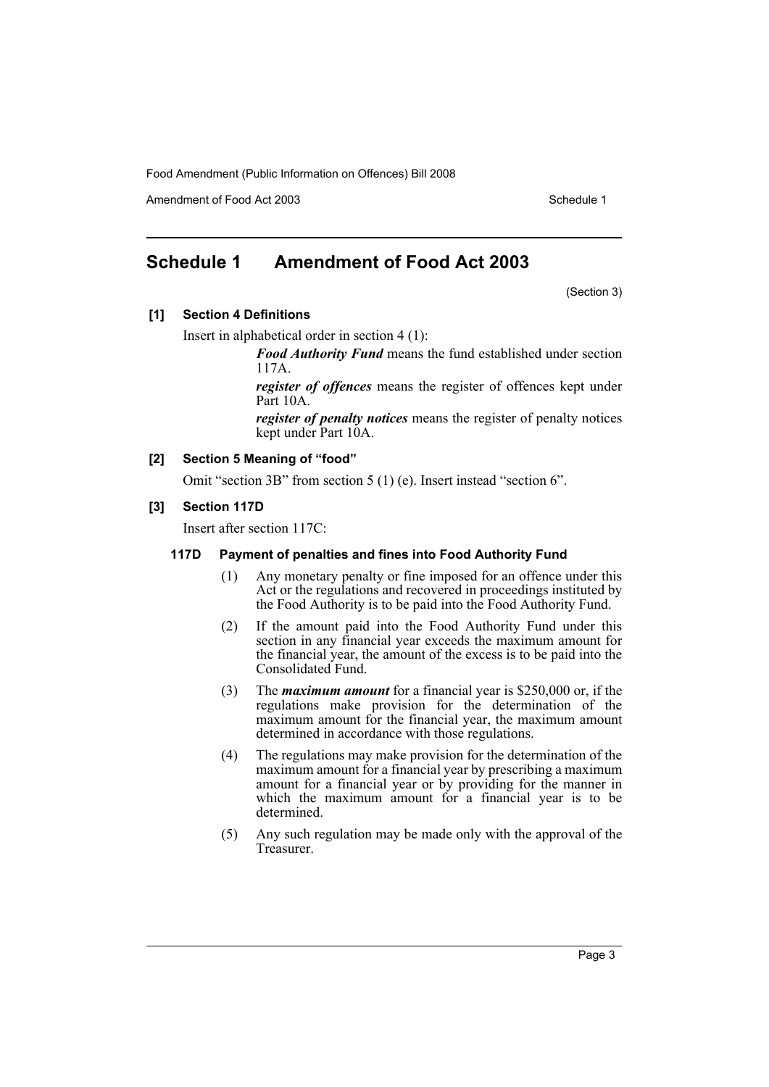Amendment of Food Act 2003 American control of the Schedule 1

# <span id="page-3-0"></span>**Schedule 1 Amendment of Food Act 2003**

(Section 3)

#### **[1] Section 4 Definitions**

Insert in alphabetical order in section 4 (1):

*Food Authority Fund* means the fund established under section 117A.

*register of offences* means the register of offences kept under Part 10A.

*register of penalty notices* means the register of penalty notices kept under Part 10A.

#### **[2] Section 5 Meaning of "food"**

Omit "section 3B" from section 5 (1) (e). Insert instead "section 6".

#### **[3] Section 117D**

Insert after section 117C:

#### **117D Payment of penalties and fines into Food Authority Fund**

- (1) Any monetary penalty or fine imposed for an offence under this Act or the regulations and recovered in proceedings instituted by the Food Authority is to be paid into the Food Authority Fund.
- (2) If the amount paid into the Food Authority Fund under this section in any financial year exceeds the maximum amount for the financial year, the amount of the excess is to be paid into the Consolidated Fund.
- (3) The *maximum amount* for a financial year is \$250,000 or, if the regulations make provision for the determination of the maximum amount for the financial year, the maximum amount determined in accordance with those regulations.
- (4) The regulations may make provision for the determination of the maximum amount for a financial year by prescribing a maximum amount for a financial year or by providing for the manner in which the maximum amount for a financial year is to be determined.
- (5) Any such regulation may be made only with the approval of the Treasurer.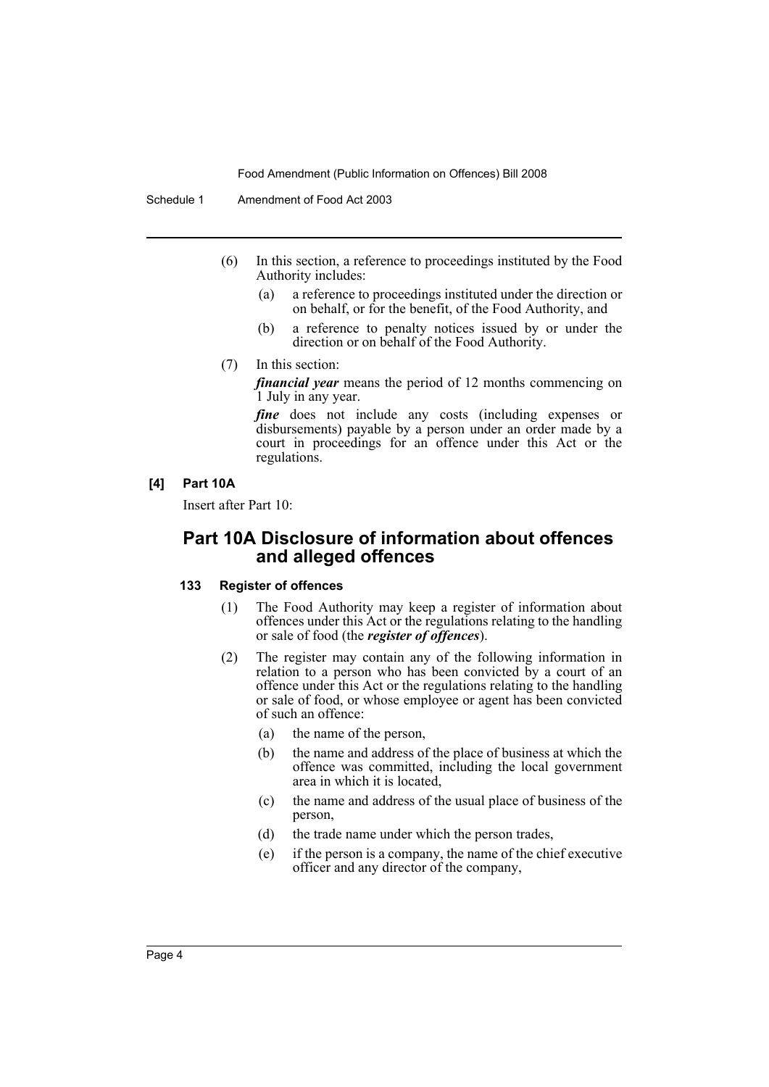Schedule 1 Amendment of Food Act 2003

- (6) In this section, a reference to proceedings instituted by the Food Authority includes:
	- (a) a reference to proceedings instituted under the direction or on behalf, or for the benefit, of the Food Authority, and
	- (b) a reference to penalty notices issued by or under the direction or on behalf of the Food Authority.
- (7) In this section:

*financial year* means the period of 12 months commencing on 1 July in any year.

fine does not include any costs (including expenses or disbursements) payable by a person under an order made by a court in proceedings for an offence under this Act or the regulations.

#### **[4] Part 10A**

Insert after Part 10:

## **Part 10A Disclosure of information about offences and alleged offences**

#### **133 Register of offences**

- (1) The Food Authority may keep a register of information about offences under this Act or the regulations relating to the handling or sale of food (the *register of offences*).
- (2) The register may contain any of the following information in relation to a person who has been convicted by a court of an offence under this Act or the regulations relating to the handling or sale of food, or whose employee or agent has been convicted of such an offence:
	- (a) the name of the person,
	- (b) the name and address of the place of business at which the offence was committed, including the local government area in which it is located,
	- (c) the name and address of the usual place of business of the person,
	- (d) the trade name under which the person trades,
	- (e) if the person is a company, the name of the chief executive officer and any director of the company,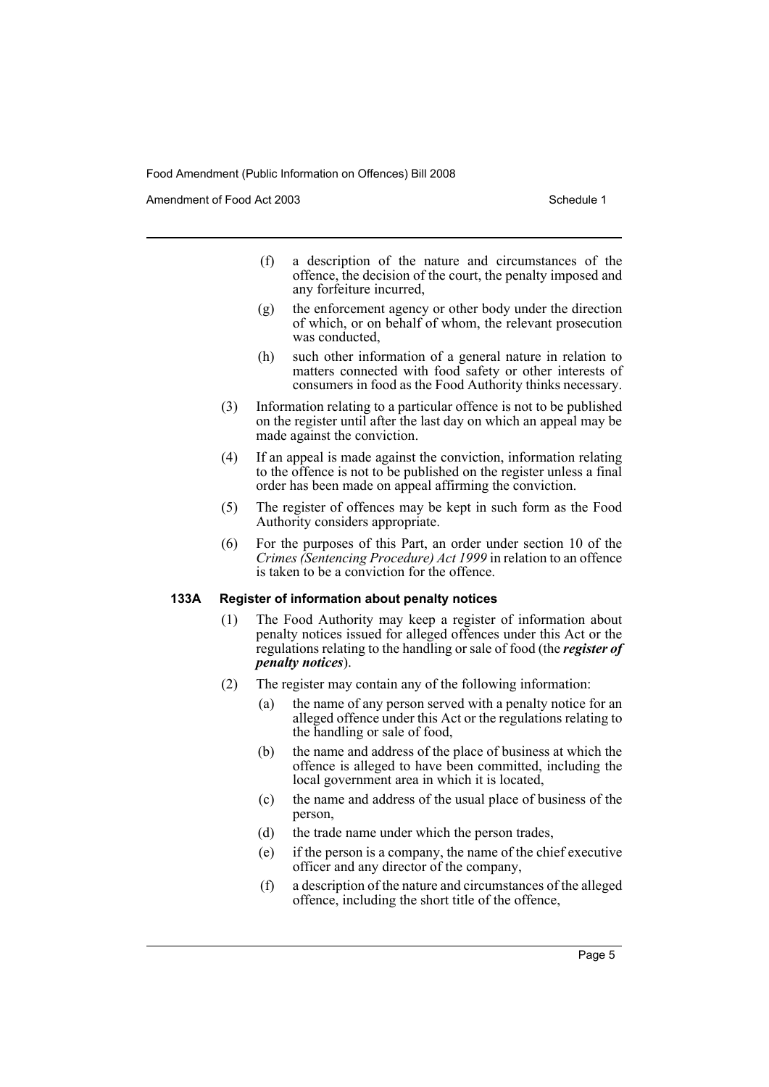Amendment of Food Act 2003 American control of the Schedule 1

- (f) a description of the nature and circumstances of the offence, the decision of the court, the penalty imposed and any forfeiture incurred,
- (g) the enforcement agency or other body under the direction of which, or on behalf of whom, the relevant prosecution was conducted,
- (h) such other information of a general nature in relation to matters connected with food safety or other interests of consumers in food as the Food Authority thinks necessary.
- (3) Information relating to a particular offence is not to be published on the register until after the last day on which an appeal may be made against the conviction.
- (4) If an appeal is made against the conviction, information relating to the offence is not to be published on the register unless a final order has been made on appeal affirming the conviction.
- (5) The register of offences may be kept in such form as the Food Authority considers appropriate.
- (6) For the purposes of this Part, an order under section 10 of the *Crimes (Sentencing Procedure) Act 1999* in relation to an offence is taken to be a conviction for the offence.

#### **133A Register of information about penalty notices**

- (1) The Food Authority may keep a register of information about penalty notices issued for alleged offences under this Act or the regulations relating to the handling or sale of food (the *register of penalty notices*).
- (2) The register may contain any of the following information:
	- (a) the name of any person served with a penalty notice for an alleged offence under this Act or the regulations relating to the handling or sale of food,
	- (b) the name and address of the place of business at which the offence is alleged to have been committed, including the local government area in which it is located,
	- (c) the name and address of the usual place of business of the person,
	- (d) the trade name under which the person trades,
	- (e) if the person is a company, the name of the chief executive officer and any director of the company,
	- (f) a description of the nature and circumstances of the alleged offence, including the short title of the offence,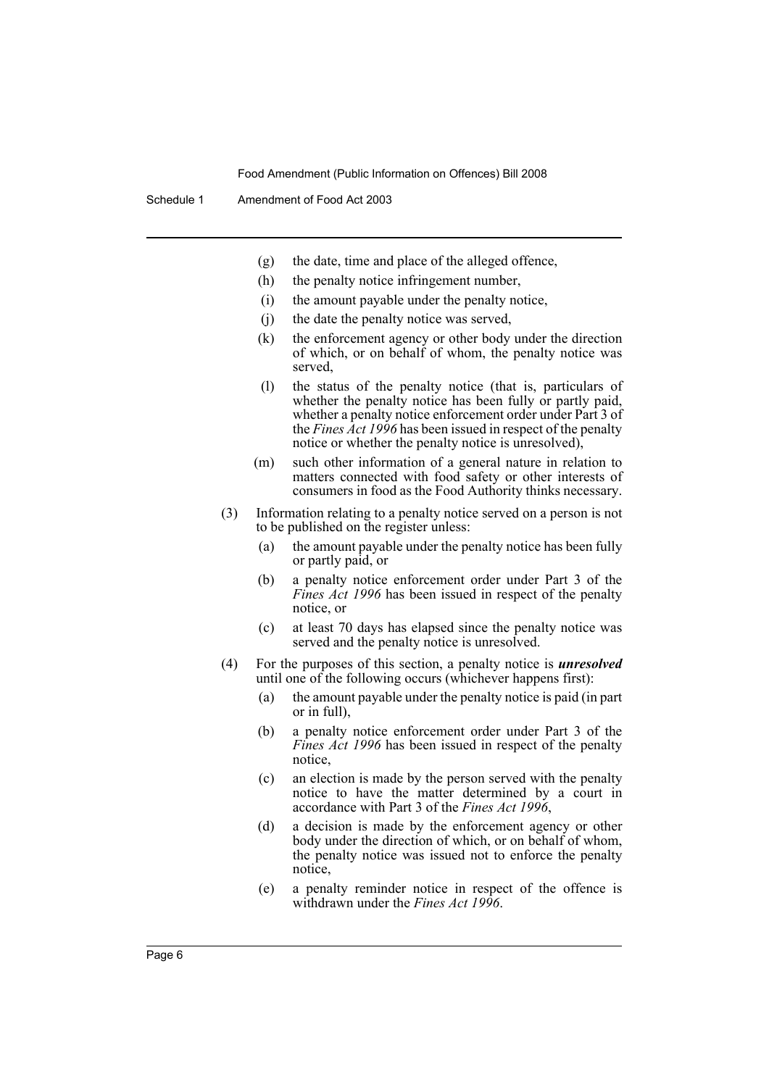- (g) the date, time and place of the alleged offence,
- (h) the penalty notice infringement number,
- (i) the amount payable under the penalty notice,
- (j) the date the penalty notice was served,
- (k) the enforcement agency or other body under the direction of which, or on behalf of whom, the penalty notice was served,
- (l) the status of the penalty notice (that is, particulars of whether the penalty notice has been fully or partly paid, whether a penalty notice enforcement order under Part 3 of the *Fines Act 1996* has been issued in respect of the penalty notice or whether the penalty notice is unresolved),
- (m) such other information of a general nature in relation to matters connected with food safety or other interests of consumers in food as the Food Authority thinks necessary.
- (3) Information relating to a penalty notice served on a person is not to be published on the register unless:
	- (a) the amount payable under the penalty notice has been fully or partly paid, or
	- (b) a penalty notice enforcement order under Part 3 of the *Fines Act 1996* has been issued in respect of the penalty notice, or
	- (c) at least 70 days has elapsed since the penalty notice was served and the penalty notice is unresolved.
- (4) For the purposes of this section, a penalty notice is *unresolved* until one of the following occurs (whichever happens first):
	- (a) the amount payable under the penalty notice is paid (in part or in full),
	- (b) a penalty notice enforcement order under Part 3 of the *Fines Act 1996* has been issued in respect of the penalty notice,
	- (c) an election is made by the person served with the penalty notice to have the matter determined by a court in accordance with Part 3 of the *Fines Act 1996*,
	- (d) a decision is made by the enforcement agency or other body under the direction of which, or on behalf of whom, the penalty notice was issued not to enforce the penalty notice,
	- (e) a penalty reminder notice in respect of the offence is withdrawn under the *Fines Act 1996*.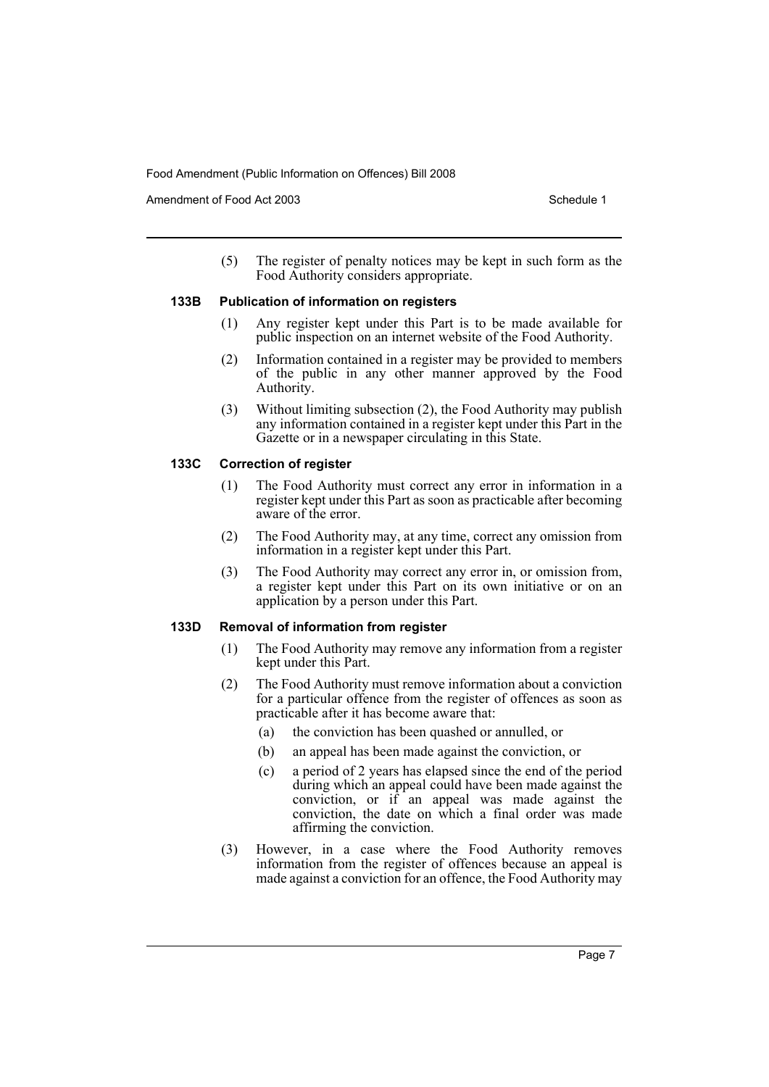Amendment of Food Act 2003 American control of the Schedule 1

(5) The register of penalty notices may be kept in such form as the Food Authority considers appropriate.

#### **133B Publication of information on registers**

- (1) Any register kept under this Part is to be made available for public inspection on an internet website of the Food Authority.
- (2) Information contained in a register may be provided to members of the public in any other manner approved by the Food Authority.
- (3) Without limiting subsection (2), the Food Authority may publish any information contained in a register kept under this Part in the Gazette or in a newspaper circulating in this State.

#### **133C Correction of register**

- (1) The Food Authority must correct any error in information in a register kept under this Part as soon as practicable after becoming aware of the error.
- (2) The Food Authority may, at any time, correct any omission from information in a register kept under this Part.
- (3) The Food Authority may correct any error in, or omission from, a register kept under this Part on its own initiative or on an application by a person under this Part.

#### **133D Removal of information from register**

- (1) The Food Authority may remove any information from a register kept under this Part.
- (2) The Food Authority must remove information about a conviction for a particular offence from the register of offences as soon as practicable after it has become aware that:
	- (a) the conviction has been quashed or annulled, or
	- (b) an appeal has been made against the conviction, or
	- (c) a period of 2 years has elapsed since the end of the period during which an appeal could have been made against the conviction, or if an appeal was made against the conviction, the date on which a final order was made affirming the conviction.
- (3) However, in a case where the Food Authority removes information from the register of offences because an appeal is made against a conviction for an offence, the Food Authority may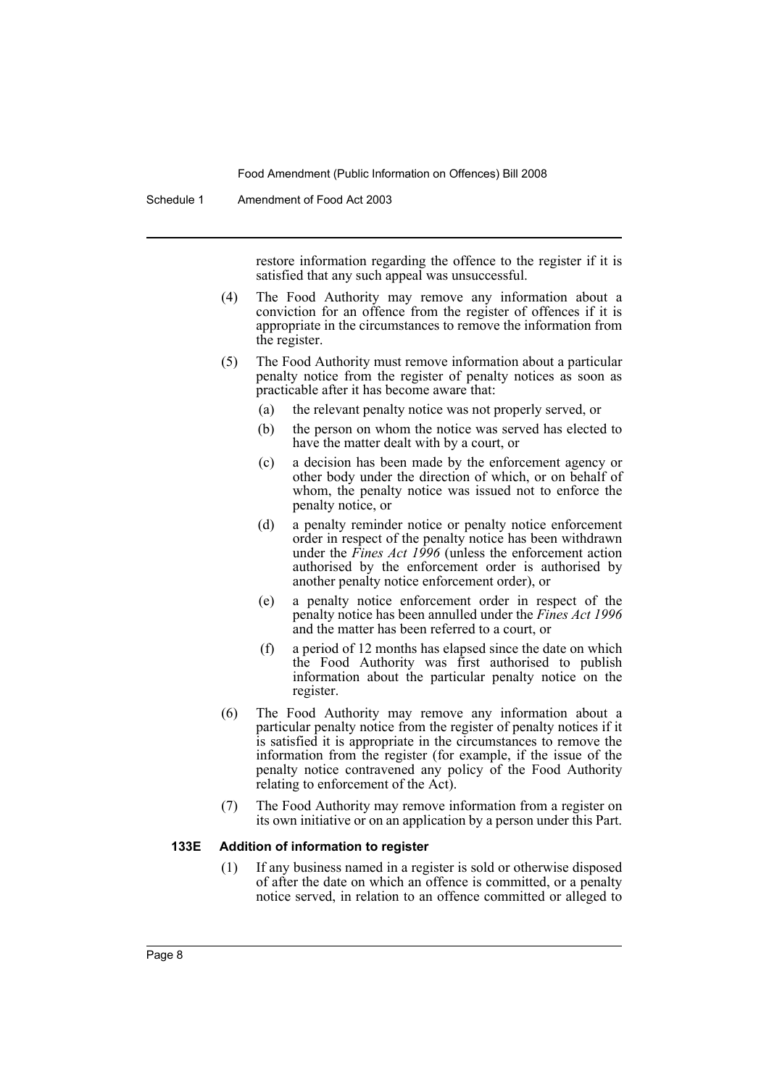Schedule 1 Amendment of Food Act 2003

restore information regarding the offence to the register if it is satisfied that any such appeal was unsuccessful.

- (4) The Food Authority may remove any information about a conviction for an offence from the register of offences if it is appropriate in the circumstances to remove the information from the register.
- (5) The Food Authority must remove information about a particular penalty notice from the register of penalty notices as soon as practicable after it has become aware that:
	- (a) the relevant penalty notice was not properly served, or
	- (b) the person on whom the notice was served has elected to have the matter dealt with by a court, or
	- (c) a decision has been made by the enforcement agency or other body under the direction of which, or on behalf of whom, the penalty notice was issued not to enforce the penalty notice, or
	- (d) a penalty reminder notice or penalty notice enforcement order in respect of the penalty notice has been withdrawn under the *Fines Act 1996* (unless the enforcement action authorised by the enforcement order is authorised by another penalty notice enforcement order), or
	- (e) a penalty notice enforcement order in respect of the penalty notice has been annulled under the *Fines Act 1996* and the matter has been referred to a court, or
	- (f) a period of 12 months has elapsed since the date on which the Food Authority was first authorised to publish information about the particular penalty notice on the register.
- (6) The Food Authority may remove any information about a particular penalty notice from the register of penalty notices if it is satisfied it is appropriate in the circumstances to remove the information from the register (for example, if the issue of the penalty notice contravened any policy of the Food Authority relating to enforcement of the Act).
- (7) The Food Authority may remove information from a register on its own initiative or on an application by a person under this Part.

#### **133E Addition of information to register**

(1) If any business named in a register is sold or otherwise disposed of after the date on which an offence is committed, or a penalty notice served, in relation to an offence committed or alleged to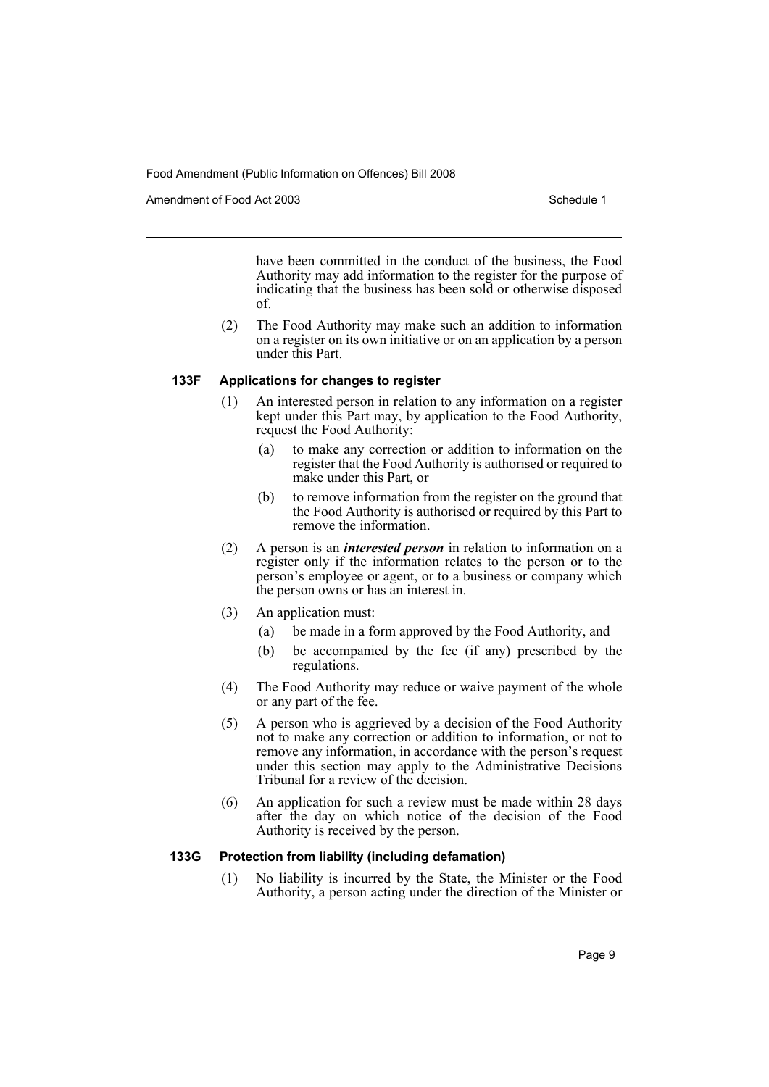Amendment of Food Act 2003 American control of the Schedule 1

have been committed in the conduct of the business, the Food Authority may add information to the register for the purpose of indicating that the business has been sold or otherwise disposed of.

(2) The Food Authority may make such an addition to information on a register on its own initiative or on an application by a person under this Part.

#### **133F Applications for changes to register**

- (1) An interested person in relation to any information on a register kept under this Part may, by application to the Food Authority, request the Food Authority:
	- (a) to make any correction or addition to information on the register that the Food Authority is authorised or required to make under this Part, or
	- (b) to remove information from the register on the ground that the Food Authority is authorised or required by this Part to remove the information.
- (2) A person is an *interested person* in relation to information on a register only if the information relates to the person or to the person's employee or agent, or to a business or company which the person owns or has an interest in.
- (3) An application must:
	- (a) be made in a form approved by the Food Authority, and
	- (b) be accompanied by the fee (if any) prescribed by the regulations.
- (4) The Food Authority may reduce or waive payment of the whole or any part of the fee.
- (5) A person who is aggrieved by a decision of the Food Authority not to make any correction or addition to information, or not to remove any information, in accordance with the person's request under this section may apply to the Administrative Decisions Tribunal for a review of the decision.
- (6) An application for such a review must be made within 28 days after the day on which notice of the decision of the Food Authority is received by the person.

### **133G Protection from liability (including defamation)**

(1) No liability is incurred by the State, the Minister or the Food Authority, a person acting under the direction of the Minister or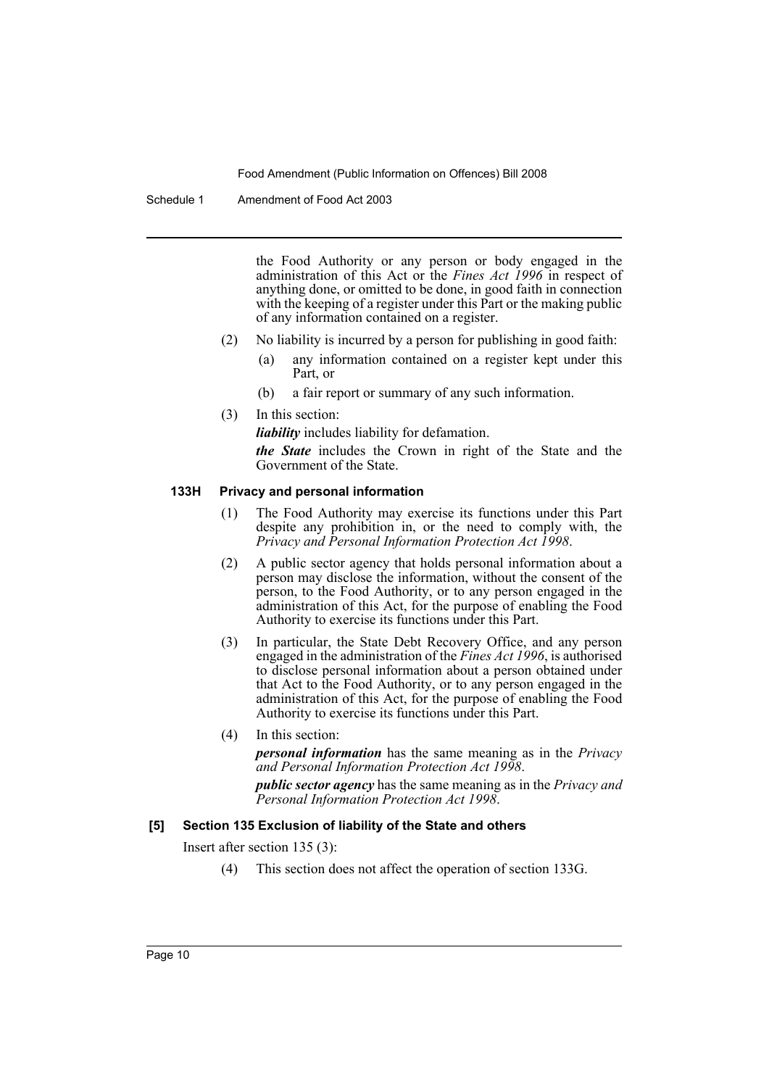Schedule 1 Amendment of Food Act 2003

the Food Authority or any person or body engaged in the administration of this Act or the *Fines Act 1996* in respect of anything done, or omitted to be done, in good faith in connection with the keeping of a register under this Part or the making public of any information contained on a register.

- (2) No liability is incurred by a person for publishing in good faith:
	- (a) any information contained on a register kept under this Part, or
	- (b) a fair report or summary of any such information.
- (3) In this section:

*liability* includes liability for defamation.

*the State* includes the Crown in right of the State and the Government of the State.

#### **133H Privacy and personal information**

- (1) The Food Authority may exercise its functions under this Part despite any prohibition in, or the need to comply with, the *Privacy and Personal Information Protection Act 1998*.
- (2) A public sector agency that holds personal information about a person may disclose the information, without the consent of the person, to the Food Authority, or to any person engaged in the administration of this Act, for the purpose of enabling the Food Authority to exercise its functions under this Part.
- (3) In particular, the State Debt Recovery Office, and any person engaged in the administration of the *Fines Act 1996*, is authorised to disclose personal information about a person obtained under that Act to the Food Authority, or to any person engaged in the administration of this Act, for the purpose of enabling the Food Authority to exercise its functions under this Part.
- (4) In this section:

*personal information* has the same meaning as in the *Privacy and Personal Information Protection Act 1998*.

*public sector agency* has the same meaning as in the *Privacy and Personal Information Protection Act 1998*.

#### **[5] Section 135 Exclusion of liability of the State and others**

Insert after section 135 (3):

(4) This section does not affect the operation of section 133G.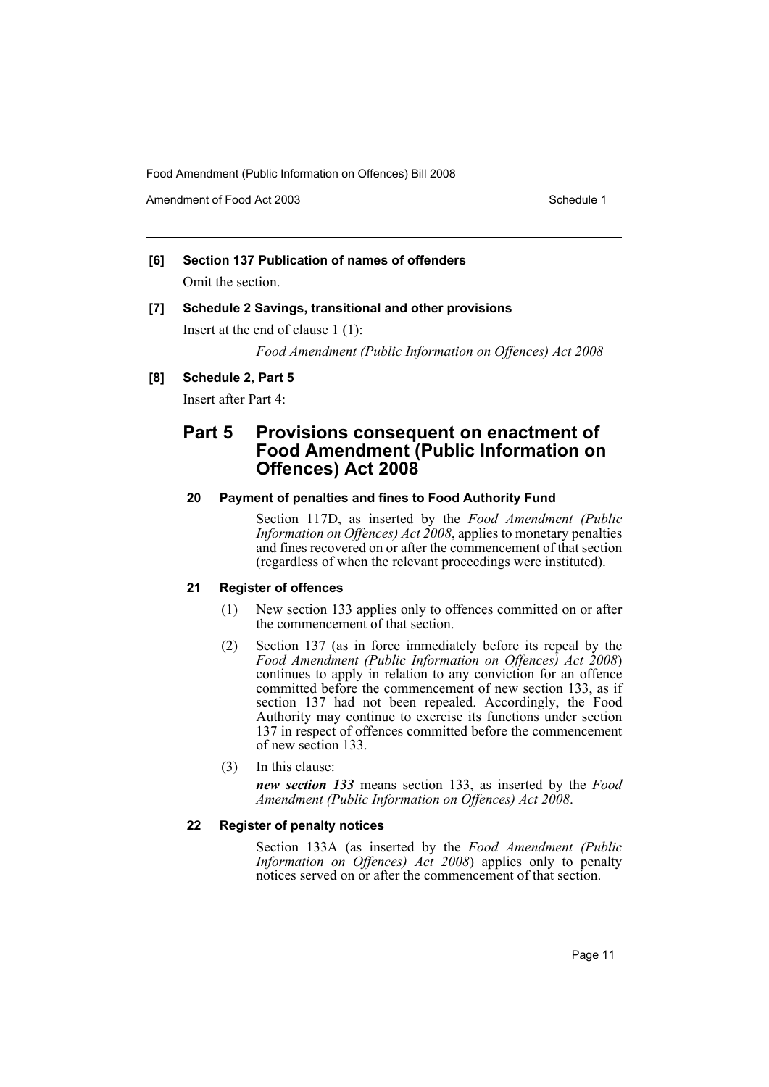Amendment of Food Act 2003 American control of the Schedule 1

## **[6] Section 137 Publication of names of offenders** Omit the section.

## **[7] Schedule 2 Savings, transitional and other provisions**

Insert at the end of clause 1 (1):

*Food Amendment (Public Information on Offences) Act 2008*

### **[8] Schedule 2, Part 5**

Insert after Part 4:

# **Part 5 Provisions consequent on enactment of Food Amendment (Public Information on Offences) Act 2008**

#### **20 Payment of penalties and fines to Food Authority Fund**

Section 117D, as inserted by the *Food Amendment (Public Information on Offences) Act 2008*, applies to monetary penalties and fines recovered on or after the commencement of that section (regardless of when the relevant proceedings were instituted).

### **21 Register of offences**

- (1) New section 133 applies only to offences committed on or after the commencement of that section.
- (2) Section 137 (as in force immediately before its repeal by the *Food Amendment (Public Information on Offences) Act 2008*) continues to apply in relation to any conviction for an offence committed before the commencement of new section 133, as if section 137 had not been repealed. Accordingly, the Food Authority may continue to exercise its functions under section 137 in respect of offences committed before the commencement of new section 133.
- (3) In this clause:

*new section 133* means section 133, as inserted by the *Food Amendment (Public Information on Offences) Act 2008*.

## **22 Register of penalty notices**

Section 133A (as inserted by the *Food Amendment (Public Information on Offences) Act 2008*) applies only to penalty notices served on or after the commencement of that section.